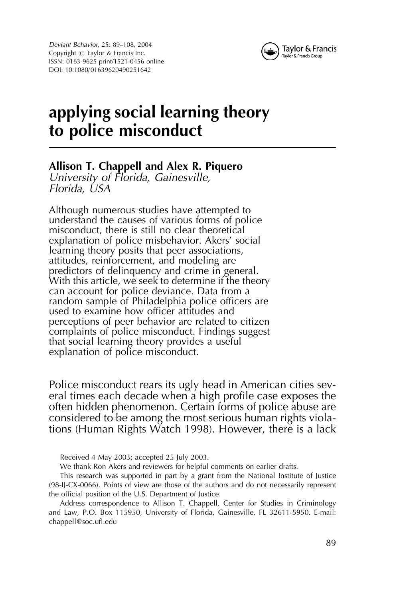

# applying social learning theory to police misconduct

# Allison T. Chappell and Alex R. Piquero

University of Florida, Gainesville, Florida, USA

Although numerous studies have attempted to understand the causes of various forms of police misconduct, there is still no clear theoretical explanation of police misbehavior. Akers' social learning theory posits that peer associations, attitudes, reinforcement, and modeling are predictors of delinquency and crime in general. With this article, we seek to determine if the theory can account for police deviance. Data from a random sample of Philadelphia police officers are used to examine how officer attitudes and perceptions of peer behavior are related to citizen complaints of police misconduct. Findings suggest that social learning theory provides a useful explanation of police misconduct.

Police misconduct rears its ugly head in American cities several times each decade when a high profile case exposes the often hidden phenomenon. Certain forms of police abuse are considered to be among the most serious human rights violations (Human Rights Watch 1998). However, there is a lack

Received 4 May 2003; accepted 25 July 2003.

We thank Ron Akers and reviewers for helpful comments on earlier drafts.

Address correspondence to Allison T. Chappell, Center for Studies in Criminology and Law, P.O. Box 115950, University of Florida, Gainesville, FL 32611-5950. E-mail: chappell@soc.ufl.edu

This research was supported in part by a grant from the National Institute of Justice (98-IJ-CX-0066). Points of view are those of the authors and do not necessarily represent the official position of the U.S. Department of Justice.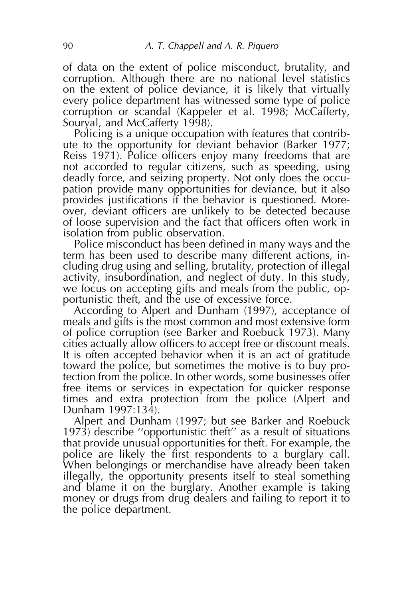of data on the extent of police misconduct, brutality, and corruption. Although there are no national level statistics on the extent of police deviance, it is likely that virtually every police department has witnessed some type of police corruption or scandal (Kappeler et al. 1998; McCafferty, Souryal, and McCafferty 1998).

Policing is a unique occupation with features that contribute to the opportunity for deviant behavior (Barker 1977; Reiss 1971). Police officers enjoy many freedoms that are not accorded to regular citizens, such as speeding, using deadly force, and seizing property. Not only does the occupation provide many opportunities for deviance, but it also provides justifications if the behavior is questioned. Moreover, deviant officers are unlikely to be detected because of loose supervision and the fact that officers often work in isolation from public observation.

Police misconduct has been defined in many ways and the term has been used to describe many different actions, including drug using and selling, brutality, protection of illegal activity, insubordination, and neglect of duty. In this study, we focus on accepting gifts and meals from the public, opportunistic theft, and the use of excessive force.

According to Alpert and Dunham (1997), acceptance of meals and gifts is the most common and most extensive form of police corruption (see Barker and Roebuck 1973). Many cities actually allow officers to accept free or discount meals. It is often accepted behavior when it is an act of gratitude toward the police, but sometimes the motive is to buy protection from the police. In other words, some businesses offer free items or services in expectation for quicker response times and extra protection from the police (Alpert and Dunham 1997:134).

Alpert and Dunham (1997; but see Barker and Roebuck 1973) describe ''opportunistic theft'' as a result of situations that provide unusual opportunities for theft. For example, the police are likely the first respondents to a burglary call. When belongings or merchandise have already been taken illegally, the opportunity presents itself to steal something and blame it on the burglary. Another example is taking money or drugs from drug dealers and failing to report it to the police department.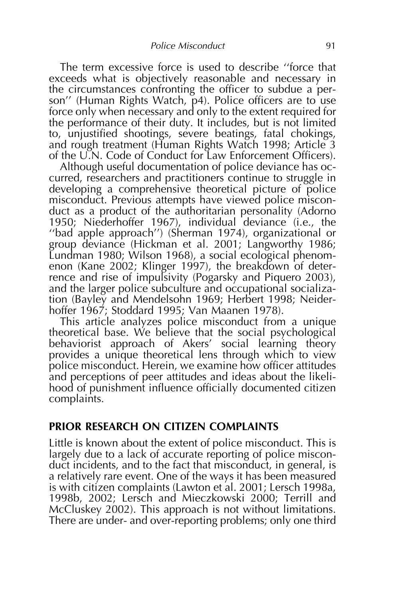The term excessive force is used to describe ''force that exceeds what is objectively reasonable and necessary in the circumstances confronting the officer to subdue a person" (Human Rights Watch, p4). Police officers are to use force only when necessary and only to the extent required for the performance of their duty. It includes, but is not limited to, unjustified shootings, severe beatings, fatal chokings, and rough treatment (Human Rights Watch 1998; Article 3 of the U.N. Code of Conduct for Law Enforcement Officers).

Although useful documentation of police deviance has occurred, researchers and practitioners continue to struggle in developing a comprehensive theoretical picture of police misconduct. Previous attempts have viewed police misconduct as a product of the authoritarian personality (Adorno 1950; Niederhoffer 1967), individual deviance (i.e., the ''bad apple approach'') (Sherman 1974), organizational or group deviance (Hickman et al. 2001; Langworthy 1986; Lundman 1980; Wilson 1968), a social ecological phenomenon (Kane 2002; Klinger 1997), the breakdown of deterrence and rise of impulsivity (Pogarsky and Piquero 2003), and the larger police subculture and occupational socialization (Bayley and Mendelsohn 1969; Herbert 1998; Neiderhoffer 1967; Stoddard 1995; Van Maanen 1978).<br>This article analyzes police misconduct from a unique

theoretical base. We believe that the social psychological behaviorist approach of Akers' social learning theory provides a unique theoretical lens through which to view police misconduct. Herein, we examine how officer attitudes and perceptions of peer attitudes and ideas about the likelihood of punishment influence officially documented citizen complaints.

#### PRIOR RESEARCH ON CITIZEN COMPLAINTS

Little is known about the extent of police misconduct. This is largely due to a lack of accurate reporting of police misconduct incidents, and to the fact that misconduct, in general, is a relatively rare event. One of the ways it has been measured is with citizen complaints (Lawton et al. 2001; Lersch 1998a, 1998b, 2002; Lersch and Mieczkowski 2000; Terrill and McCluskey 2002). This approach is not without limitations. There are under- and over-reporting problems; only one third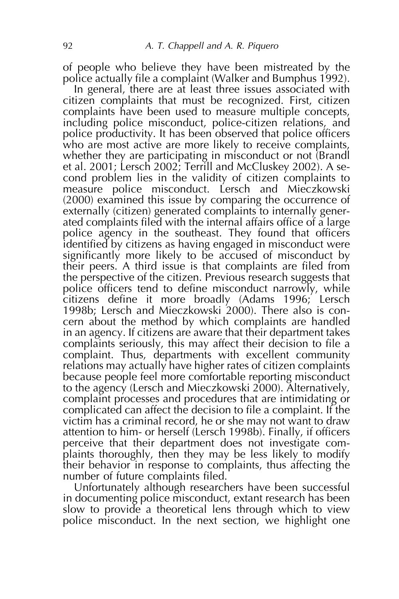of people who believe they have been mistreated by the police actually file a complaint (Walker and Bumphus 1992).

In general, there are at least three issues associated with citizen complaints that must be recognized. First, citizen complaints have been used to measure multiple concepts, including police misconduct, police-citizen relations, and police productivity. It has been observed that police officers who are most active are more likely to receive complaints, whether they are participating in misconduct or not (Brandl et al. 2001; Lersch 2002; Terrill and McCluskey 2002). A second problem lies in the validity of citizen complaints to measure police misconduct. Lersch and Mieczkowski (2000) examined this issue by comparing the occurrence of externally (citizen) generated complaints to internally generated complaints filed with the internal affairs office of a large police agency in the southeast. They found that officers identified by citizens as having engaged in misconduct were significantly more likely to be accused of misconduct by their peers. A third issue is that complaints are filed from the perspective of the citizen. Previous research suggests that police officers tend to define misconduct narrowly, while citizens define it more broadly (Adams 1996; Lersch 1998b; Lersch and Mieczkowski 2000). There also is concern about the method by which complaints are handled in an agency. If citizens are aware that their department takes complaints seriously, this may affect their decision to file a complaint. Thus, departments with excellent community relations may actually have higher rates of citizen complaints because people feel more comfortable reporting misconduct to the agency (Lersch and Mieczkowski 2000). Alternatively, complaint processes and procedures that are intimidating or complicated can affect the decision to file a complaint. If the victim has a criminal record, he or she may not want to draw attention to him- or herself (Lersch 1998b). Finally, if officers perceive that their department does not investigate complaints thoroughly, then they may be less likely to modify their behavior in response to complaints, thus affecting the number of future complaints filed.

Unfortunately although researchers have been successful in documenting police misconduct, extant research has been slow to provide a theoretical lens through which to view police misconduct. In the next section, we highlight one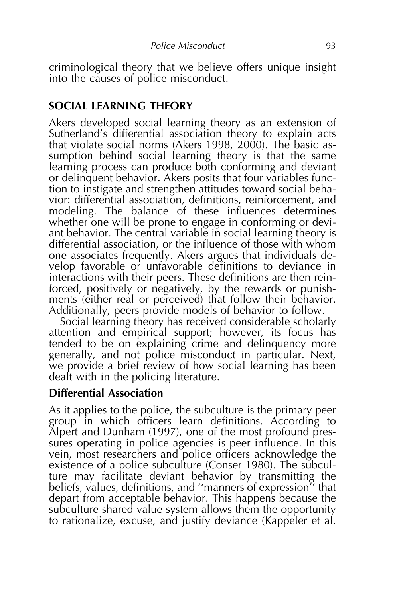criminological theory that we believe offers unique insight into the causes of police misconduct.

# SOCIAL LEARNING THEORY

Akers developed social learning theory as an extension of Sutherland's differential association theory to explain acts that violate social norms (Akers 1998, 2000). The basic assumption behind social learning theory is that the same learning process can produce both conforming and deviant or delinquent behavior. Akers posits that four variables function to instigate and strengthen attitudes toward social behavior: differential association, definitions, reinforcement, and modeling. The balance of these influences determines whether one will be prone to engage in conforming or deviant behavior. The central variable in social learning theory is differential association, or the influence of those with whom one associates frequently. Akers argues that individuals develop favorable or unfavorable definitions to deviance in interactions with their peers. These definitions are then reinforced, positively or negatively, by the rewards or punishments (either real or perceived) that follow their behavior.

Additionally, peers provide models of behavior to follow.<br>Social learning theory has received considerable scholarly attention and empirical support; however, its focus has tended to be on explaining crime and delinquency more generally, and not police misconduct in particular. Next, we provide a brief review of how social learning has been dealt with in the policing literature.

### Differential Association

As it applies to the police, the subculture is the primary peer group in which officers learn definitions. According to Alpert and Dunham (1997), one of the most profound pressures operating in police agencies is peer influence. In this vein, most researchers and police officers acknowledge the existence of a police subculture (Conser 1980). The subculture may facilitate deviant behavior by transmitting the beliefs, values, definitions, and "manners of expression" that depart from acceptable behavior. This happens because the subculture shared value system allows them the opportunity to rationalize, excuse, and justify deviance (Kappeler et al.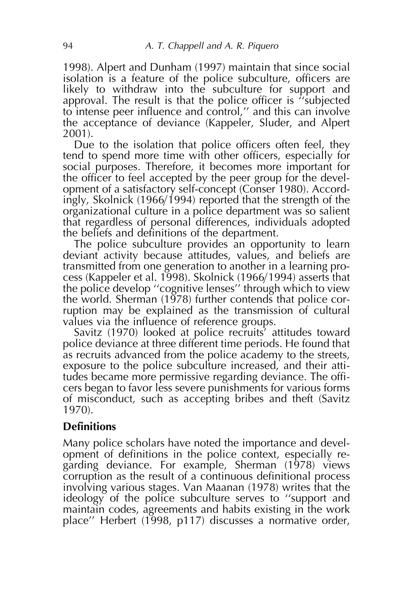1998). Alpert and Dunham (1997) maintain that since social isolation is a feature of the police subculture, officers are likely to withdraw into the subculture for support and approval. The result is that the police officer is ''subjected to intense peer influence and control,'' and this can involve the acceptance of deviance (Kappeler, Sluder, and Alpert

2001).<br>Due to the isolation that police officers often feel, they tend to spend more time with other officers, especially for social purposes. Therefore, it becomes more important for the officer to feel accepted by the peer group for the development of a satisfactory self-concept (Conser 1980). Accordingly, Skolnick  $(1966/1994)$  reported that the strength of the organizational culture in a police department was so salient that regardless of personal differences, individuals adopted

The police subculture provides an opportunity to learn. deviant activity because attitudes, values, and beliefs are transmitted from one generation to another in a learning process (Kappeler et al. 1998). Skolnick (1966/1994) asserts that the police develop ''cognitive lenses'' through which to view the world. Sherman (1978) further contends that police corruption may be explained as the transmission of cultural values via the influence of reference groups.

Savitz (1970) looked at police recruits' attitudes toward police deviance at three different time periods. He found that as recruits advanced from the police academy to the streets, exposure to the police subculture increased, and their attitudes became more permissive regarding deviance. The officers began to favor less severe punishments for various forms of misconduct, such as accepting bribes and theft (Savitz 1970).

#### **Definitions**

Many police scholars have noted the importance and development of definitions in the police context, especially regarding deviance. For example, Sherman (1978) views corruption as the result of a continuous definitional process involving various stages. Van Maanan (1978) writes that the ideology of the police subculture serves to "support and maintain codes, agreements and habits existing in the work place'' Herbert (1998, p117) discusses a normative order,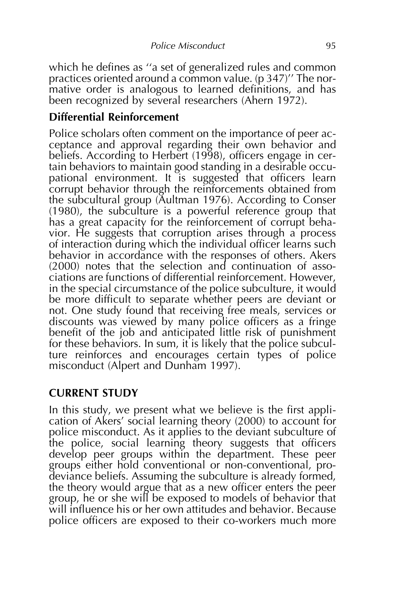which he defines as ''a set of generalized rules and common practices oriented around a common value. (p 347)'' The normative order is analogous to learned definitions, and has been recognized by several researchers (Ahern 1972).

#### Differential Reinforcement

Police scholars often comment on the importance of peer acceptance and approval regarding their own behavior and beliefs. According to Herbert (1998), officers engage in certain behaviors to maintain good standing in a desirable occupational environment. It is suggested that officers learn corrupt behavior through the reinforcements obtained from the subcultural group (Aultman 1976). According to Conser (1980), the subculture is a powerful reference group that has a great capacity for the reinforcement of corrupt behavior. He suggests that corruption arises through a process of interaction during which the individual officer learns such behavior in accordance with the responses of others. Akers (2000) notes that the selection and continuation of associations are functions of differential reinforcement. However, in the special circumstance of the police subculture, it would be more difficult to separate whether peers are deviant or not. One study found that receiving free meals, services or discounts was viewed by many police officers as a fringe benefit of the job and anticipated little risk of punishment for these behaviors. In sum, it is likely that the police subculture reinforces and encourages certain types of police misconduct (Alpert and Dunham 1997).

### CURRENT STUDY

In this study, we present what we believe is the first application of Akers' social learning theory (2000) to account for police misconduct. As it applies to the deviant subculture of the police, social learning theory suggests that officers develop peer groups within the department. These peer groups either hold conventional or non-conventional, prodeviance beliefs. Assuming the subculture is already formed, the theory would argue that as a new officer enters the peer group, he or she will be exposed to models of behavior that will influence his or her own attitudes and behavior. Because police officers are exposed to their co-workers much more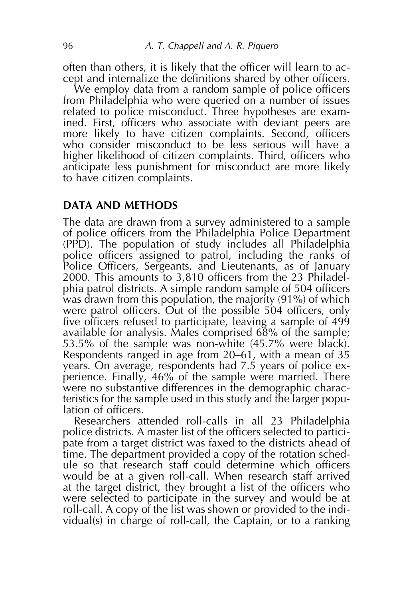often than others, it is likely that the officer will learn to accept and internalize the definitions shared by other officers.

We employ data from a random sample of police officers from Philadelphia who were queried on a number of issues related to police misconduct. Three hypotheses are examined. First, officers who associate with deviant peers are more likely to have citizen complaints. Second, officers who consider misconduct to be less serious will have a higher likelihood of citizen complaints. Third, officers who anticipate less punishment for misconduct are more likely to have citizen complaints.

#### DATA AND METHODS

The data are drawn from a survey administered to a sample of police officers from the Philadelphia Police Department (PPD). The population of study includes all Philadelphia police officers assigned to patrol, including the ranks of Police Officers, Sergeants, and Lieutenants, as of January 2000. This amounts to 3,810 officers from the 23 Philadelphia patrol districts. A simple random sample of 504 officers was drawn from this population, the majority (91%) of which were patrol officers. Out of the possible 504 officers, only five officers refused to participate, leaving a sample of 499 available for analysis. Males comprised 68% of the sample; 53.5% of the sample was non-white (45.7% were black). Respondents ranged in age from 20–61, with a mean of 35 years. On average, respondents had 7.5 years of police experience. Finally, 46% of the sample were married. There were no substantive differences in the demographic characteristics for the sample used in this study and the larger popu-

lation of officers.<br>Researchers attended roll-calls in all 23 Philadelphia police districts. A master list of the officers selected to participate from a target district was faxed to the districts ahead of time. The department provided a copy of the rotation schedule so that research staff could determine which officers would be at a given roll-call. When research staff arrived at the target district, they brought a list of the officers who were selected to participate in the survey and would be at roll-call. A copy of the list was shown or provided to the individual(s) in charge of roll-call, the Captain, or to a ranking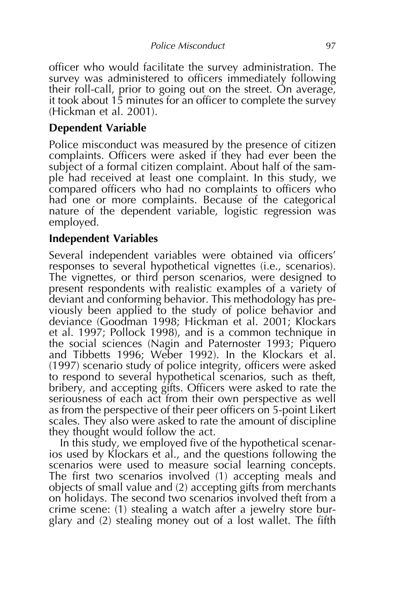officer who would facilitate the survey administration. The survey was administered to officers immediately following their roll-call, prior to going out on the street. On average, it took about 15 minutes for an officer to complete the survey (Hickman et al. 2001).

#### Dependent Variable

Police misconduct was measured by the presence of citizen complaints. Officers were asked if they had ever been the subject of a formal citizen complaint. About half of the sample had received at least one complaint. In this study, we compared officers who had no complaints to officers who had one or more complaints. Because of the categorical nature of the dependent variable, logistic regression was employed.

#### Independent Variables

Several independent variables were obtained via officers' responses to several hypothetical vignettes (i.e., scenarios). The vignettes, or third person scenarios, were designed to present respondents with realistic examples of a variety of deviant and conforming behavior. This methodology has previously been applied to the study of police behavior and deviance (Goodman 1998; Hickman et al. 2001; Klockars et al. 1997; Pollock 1998), and is a common technique in the social sciences (Nagin and Paternoster 1993; Piquero and Tibbetts 1996; Weber 1992). In the Klockars et al. (1997) scenario study of police integrity, officers were asked to respond to several hypothetical scenarios, such as theft, bribery, and accepting gifts. Officers were asked to rate the seriousness of each act from their own perspective as well as from the perspective of their peer officers on 5-point Likert scales. They also were asked to rate the amount of discipline they thought would follow the act.

In this study, we employed five of the hypothetical scenarios used by Klockars et al., and the questions following the scenarios were used to measure social learning concepts. The first two scenarios involved (1) accepting meals and objects of small value and (2) accepting gifts from merchants on holidays. The second two scenarios involved theft from a crime scene: (1) stealing a watch after a jewelry store burglary and (2) stealing money out of a lost wallet. The fifth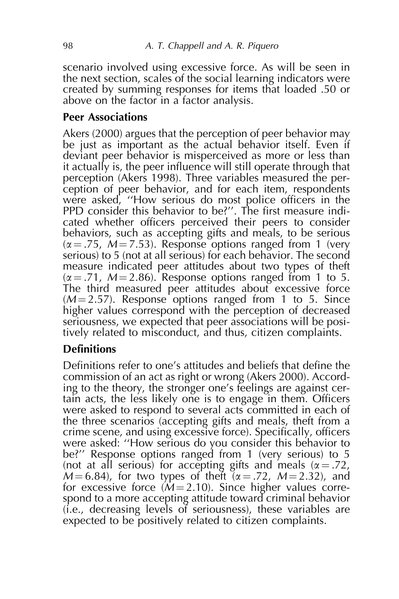scenario involved using excessive force. As will be seen in the next section, scales of the social learning indicators were created by summing responses for items that loaded .50 or above on the factor in a factor analysis.

## Peer Associations

Akers (2000) argues that the perception of peer behavior may be just as important as the actual behavior itself. Even if deviant peer behavior is misperceived as more or less than it actually is, the peer influence will still operate through that perception (Akers 1998). Three variables measured the perception of peer behavior, and for each item, respondents were asked, ''How serious do most police officers in the PPD consider this behavior to be?''. The first measure indicated whether officers perceived their peers to consider behaviors, such as accepting gifts and meals, to be serious  $(\alpha = .75, M = 7.53)$ . Response options ranged from 1 (very serious) to 5 (not at all serious) for each behavior. The second measure indicated peer attitudes about two types of theft  $(\alpha = .71, M = 2.86)$ . Response options ranged from 1 to 5. The third measured peer attitudes about excessive force  $(M = 2.57)$ . Response options ranged from 1 to 5. Since higher values correspond with the perception of decreased seriousness, we expected that peer associations will be positively related to misconduct, and thus, citizen complaints.

# Definitions

Definitions refer to one's attitudes and beliefs that define the commission of an act as right or wrong (Akers 2000). According to the theory, the stronger one's feelings are against certain acts, the less likely one is to engage in them. Officers were asked to respond to several acts committed in each of the three scenarios (accepting gifts and meals, theft from a crime scene, and using excessive force). Specifically, officers were asked: ''How serious do you consider this behavior to be?'' Response options ranged from 1 (very serious) to 5 (not at all serious) for accepting gifts and meals ( $\alpha = .72$ ,  $M = 6.84$ ), for two types of theft ( $\alpha = .72$ ,  $M = 2.32$ ), and for excessive force  $(M=2.10)$ . Since higher values correspond to a more accepting attitude toward criminal behavior (i.e., decreasing levels of seriousness), these variables are expected to be positively related to citizen complaints.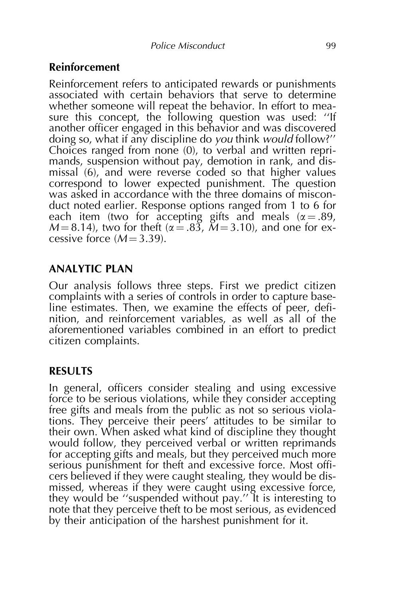### Reinforcement

Reinforcement refers to anticipated rewards or punishments associated with certain behaviors that serve to determine whether someone will repeat the behavior. In effort to measure this concept, the following question was used: ''If another officer engaged in this behavior and was discovered doing so, what if any discipline do you think would follow?'' Choices ranged from none (0), to verbal and written reprimands, suspension without pay, demotion in rank, and dismissal (6), and were reverse coded so that higher values correspond to lower expected punishment. The question was asked in accordance with the three domains of misconduct noted earlier. Response options ranged from 1 to 6 for each item (two for accepting gifts and meals ( $\alpha = .89$ ,  $M = 8.14$ ), two for theft ( $\alpha = .83$ ,  $\dot{M} = 3.10$ ), and one for excessive force  $(M = 3.39)$ .

### ANALYTIC PLAN

Our analysis follows three steps. First we predict citizen complaints with a series of controls in order to capture baseline estimates. Then, we examine the effects of peer, definition, and reinforcement variables, as well as all of the aforementioned variables combined in an effort to predict citizen complaints.

#### RESULTS

In general, officers consider stealing and using excessive force to be serious violations, while they consider accepting free gifts and meals from the public as not so serious violations. They perceive their peers' attitudes to be similar to their own. When asked what kind of discipline they thought would follow, they perceived verbal or written reprimands for accepting gifts and meals, but they perceived much more serious punishment for theft and excessive force. Most officers believed if they were caught stealing, they would be dismissed, whereas if they were caught using excessive force, they would be ''suspended without pay.'' It is interesting to note that they perceive theft to be most serious, as evidenced by their anticipation of the harshest punishment for it.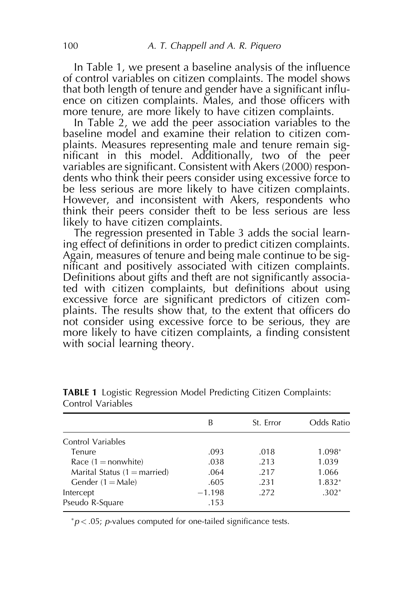In Table 1, we present a baseline analysis of the influence of control variables on citizen complaints. The model shows that both length of tenure and gender have a significant influence on citizen complaints. Males, and those officers with more tenure, are more likely to have citizen complaints.

In Table 2, we add the peer association variables to the baseline model and examine their relation to citizen complaints. Measures representing male and tenure remain significant in this model. Additionally, two of the peer variables are significant. Consistent with Akers (2000) respondents who think their peers consider using excessive force to be less serious are more likely to have citizen complaints. However, and inconsistent with Akers, respondents who think their peers consider theft to be less serious are less likely to have citizen complaints.<br>The regression presented in Table 3 adds the social learn-

ing effect of definitions in order to predict citizen complaints. Again, measures of tenure and being male continue to be significant and positively associated with citizen complaints. Definitions about gifts and theft are not significantly associated with citizen complaints, but definitions about using excessive force are significant predictors of citizen complaints. The results show that, to the extent that officers do not consider using excessive force to be serious, they are more likely to have citizen complaints, a finding consistent with social learning theory.

| В        | St. Error | Odds Ratio |
|----------|-----------|------------|
|          |           |            |
| .093     | .018      | $1.098*$   |
| .038     | .213      | 1.039      |
| .064     | .217      | 1.066      |
| .605     | .231      | $1.832*$   |
| $-1.198$ | .272      | $.302*$    |
| .153     |           |            |
|          |           |            |

TABLE 1 Logistic Regression Model Predicting Citizen Complaints: Control Variables

 $p < .05$ ; *p*-values computed for one-tailed significance tests.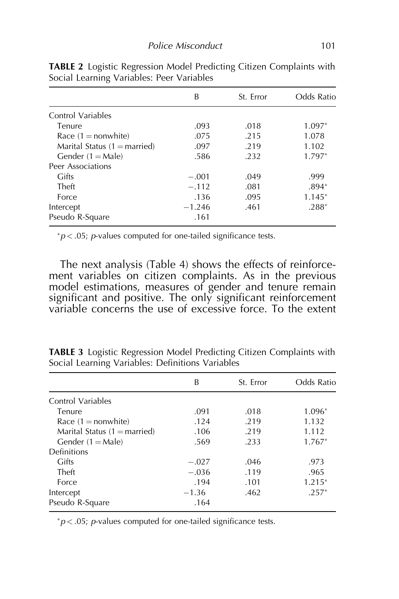|                                | B        | St. Error | Odds Ratio |
|--------------------------------|----------|-----------|------------|
| Control Variables              |          |           |            |
| Tenure                         | .093     | .018      | $1.097*$   |
| Race $(1 =$ nonwhite)          | .075     | .215      | 1.078      |
| Marital Status $(1 =$ married) | .097     | .219      | 1.102      |
| Gender $(1 = Male)$            | .586     | .232      | $1.797*$   |
| Peer Associations              |          |           |            |
| Gifts                          | $-.001$  | .049      | .999       |
| Theft                          | $-.112$  | .081      | $.894*$    |
| Force                          | .136     | .095      | $1.145*$   |
| Intercept                      | $-1.246$ | .461      | $.288*$    |
| Pseudo R-Square                | .161     |           |            |

TABLE 2 Logistic Regression Model Predicting Citizen Complaints with Social Learning Variables: Peer Variables

 $p < .05$ ; *p*-values computed for one-tailed significance tests.

The next analysis (Table 4) shows the effects of reinforcement variables on citizen complaints. As in the previous model estimations, measures of gender and tenure remain significant and positive. The only significant reinforcement variable concerns the use of excessive force. To the extent

|                                | B       | St. Error | Odds Ratio |
|--------------------------------|---------|-----------|------------|
| Control Variables              |         |           |            |
| Tenure                         | .091    | .018      | $1.096*$   |
| Race $(1 =$ nonwhite)          | .124    | .219      | 1.132      |
| Marital Status $(1 =$ married) | .106    | .219      | 1.112      |
| Gender $(1 = Male)$            | .569    | .233      | $1.767*$   |
| Definitions                    |         |           |            |
| Gifts                          | $-.027$ | .046      | .973       |
| Theft                          | $-.036$ | .119      | .965       |
| Force                          | .194    | .101      | $1.215*$   |
| Intercept                      | $-1.36$ | .462      | $.257*$    |
| Pseudo R-Square                | .164    |           |            |
|                                |         |           |            |

TABLE 3 Logistic Regression Model Predicting Citizen Complaints with Social Learning Variables: Definitions Variables

 $p < .05$ ; *p*-values computed for one-tailed significance tests.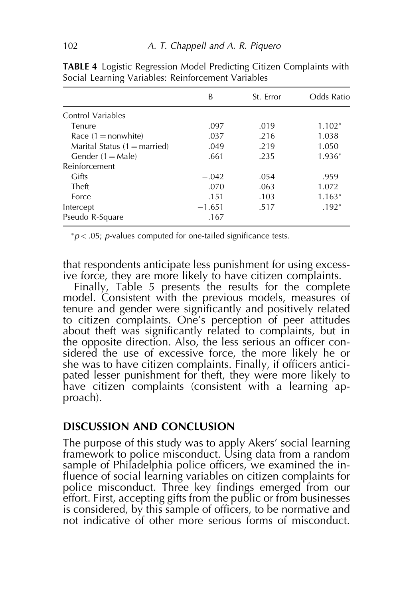|                                | B        | St. Error | Odds Ratio |
|--------------------------------|----------|-----------|------------|
| Control Variables              |          |           |            |
| Tenure                         | .097     | .019      | $1.102*$   |
| Race $(1 =$ nonwhite)          | .037     | .216      | 1.038      |
| Marital Status $(1 =$ married) | .049     | .219      | 1.050      |
| Gender $(1 = Male)$            | .661     | .235      | $1.936*$   |
| Reinforcement                  |          |           |            |
| Gifts                          | $-.042$  | .054      | .959       |
| Theft                          | .070     | .063      | 1.072      |
| Force                          | .151     | .103      | $1.163*$   |
| Intercept                      | $-1.651$ | .517      | $.192*$    |
| Pseudo R-Square                | .167     |           |            |

TABLE 4 Logistic Regression Model Predicting Citizen Complaints with Social Learning Variables: Reinforcement Variables

 $p < .05$ ; *p*-values computed for one-tailed significance tests.

that respondents anticipate less punishment for using excessive force, they are more likely to have citizen complaints.

Finally, Table 5 presents the results for the complete model. Consistent with the previous models, measures of tenure and gender were significantly and positively related to citizen complaints. One's perception of peer attitudes about theft was significantly related to complaints, but in the opposite direction. Also, the less serious an officer considered the use of excessive force, the more likely he or she was to have citizen complaints. Finally, if officers anticipated lesser punishment for theft, they were more likely to have citizen complaints (consistent with a learning approach).

#### DISCUSSION AND CONCLUSION

The purpose of this study was to apply Akers' social learning framework to police misconduct. Using data from a random sample of Philadelphia police officers, we examined the influence of social learning variables on citizen complaints for police misconduct. Three key findings emerged from our effort. First, accepting gifts from the public or from businesses is considered, by this sample of officers, to be normative and not indicative of other more serious forms of misconduct.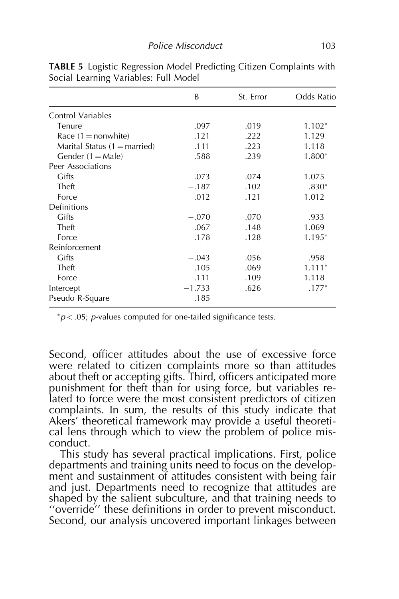|                                | B        | St. Error | Odds Ratio |
|--------------------------------|----------|-----------|------------|
| Control Variables              |          |           |            |
| Tenure                         | .097     | .019      | $1.102*$   |
| Race $(1 = \text{nonwhite})$   | .121     | .222      | 1.129      |
| Marital Status $(1 =$ married) | .111     | .223      | 1.118      |
| Gender $(1 = Male)$            | .588     | .239      | 1.800*     |
| Peer Associations              |          |           |            |
| Gifts                          | .073     | .074      | 1.075      |
| Theft                          | $-.187$  | .102      | $.830*$    |
| Force                          | .012     | .121      | 1.012      |
| Definitions                    |          |           |            |
| Gifts                          | $-.070$  | .070      | .933       |
| Theft                          | .067     | .148      | 1.069      |
| Force                          | .178     | .128      | 1.195*     |
| Reinforcement                  |          |           |            |
| Gifts                          | $-.043$  | .056      | .958       |
| Theft                          | .105     | .069      | $1.111*$   |
| Force                          | .111     | .109      | 1.118      |
| Intercept                      | $-1.733$ | .626      | $.177*$    |
| Pseudo R-Square                | .185     |           |            |

TABLE 5 Logistic Regression Model Predicting Citizen Complaints with Social Learning Variables: Full Model

 $p < .05$ ; *p*-values computed for one-tailed significance tests.

Second, officer attitudes about the use of excessive force were related to citizen complaints more so than attitudes about theft or accepting gifts. Third, officers anticipated more punishment for theft than for using force, but variables related to force were the most consistent predictors of citizen complaints. In sum, the results of this study indicate that Akers' theoretical framework may provide a useful theoretical lens through which to view the problem of police misconduct.

This study has several practical implications. First, police departments and training units need to focus on the development and sustainment of attitudes consistent with being fair and just. Departments need to recognize that attitudes are shaped by the salient subculture, and that training needs to ''override'' these definitions in order to prevent misconduct. Second, our analysis uncovered important linkages between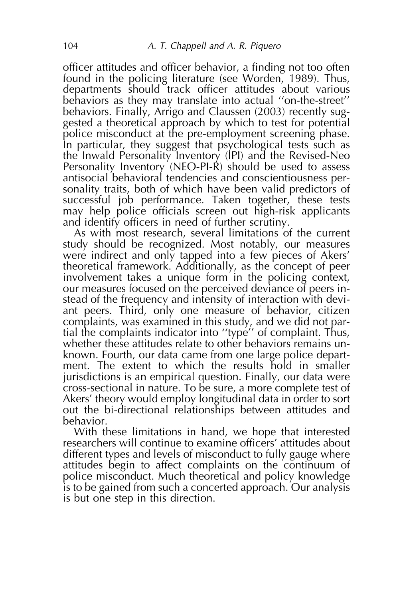officer attitudes and officer behavior, a finding not too often found in the policing literature (see Worden, 1989). Thus, departments should track officer attitudes about various behaviors as they may translate into actual ''on-the-street'' behaviors. Finally, Arrigo and Claussen (2003) recently suggested a theoretical approach by which to test for potential police misconduct at the pre-employment screening phase. In particular, they suggest that psychological tests such as the Inwald Personality Inventory (IPI) and the Revised-Neo Personality Inventory (NEO-PI-R) should be used to assess antisocial behavioral tendencies and conscientiousness personality traits, both of which have been valid predictors of successful job performance. Taken together, these tests may help police officials screen out high-risk applicants and identify officers in need of further scrutiny.

As with most research, several limitations of the current study should be recognized. Most notably, our measures were indirect and only tapped into a few pieces of Akers' theoretical framework. Additionally, as the concept of peer involvement takes a unique form in the policing context, our measures focused on the perceived deviance of peers instead of the frequency and intensity of interaction with deviant peers. Third, only one measure of behavior, citizen complaints, was examined in this study, and we did not partial the complaints indicator into ''type'' of complaint. Thus, whether these attitudes relate to other behaviors remains unknown. Fourth, our data came from one large police department. The extent to which the results hold in smaller jurisdictions is an empirical question. Finally, our data were cross-sectional in nature. To be sure, a more complete test of Akers' theory would employ longitudinal data in order to sort out the bi-directional relationships between attitudes and behavior.

With these limitations in hand, we hope that interested researchers will continue to examine officers' attitudes about different types and levels of misconduct to fully gauge where attitudes begin to affect complaints on the continuum of police misconduct. Much theoretical and policy knowledge is to be gained from such a concerted approach. Our analysis is but one step in this direction.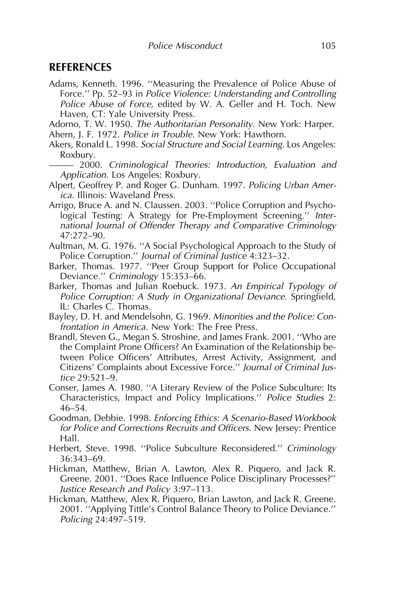#### **REFERENCES**

Adams, Kenneth. 1996. ''Measuring the Prevalence of Police Abuse of Force.'' Pp. 52–93 in Police Violence: Understanding and Controlling Police Abuse of Force, edited by W. A. Geller and H. Toch. New Haven, CT: Yale University Press.

Adorno, T. W. 1950. The Authoritarian Personality. New York: Harper. Ahern, J. F. 1972. Police in Trouble. New York: Hawthorn.

- Akers, Ronald L. 1998. Social Structure and Social Learning. Los Angeles: Roxbury.
- 2000. Criminological Theories: Introduction, Evaluation and Application. Los Angeles: Roxbury.
- Alpert, Geoffrey P. and Roger G. Dunham. 1997. Policing Urban America. Illinois: Waveland Press.
- Arrigo, Bruce A. and N. Claussen. 2003. ''Police Corruption and Psychological Testing: A Strategy for Pre-Employment Screening." International Journal of Offender Therapy and Comparative Criminology 47:272–90.
- Aultman, M. G. 1976. ''A Social Psychological Approach to the Study of Police Corruption.'' Journal of Criminal Justice 4:323–32.
- Barker, Thomas. 1977. ''Peer Group Support for Police Occupational Deviance.'' Criminology 15:353–66.
- Barker, Thomas and Julian Roebuck. 1973. An Empirical Typology of Police Corruption: A Study in Organizational Deviance. Springfield, IL: Charles C. Thomas.
- Bayley, D. H. and Mendelsohn, G. 1969. Minorities and the Police: Confrontation in America. New York: The Free Press.
- Brandl, Steven G., Megan S. Stroshine, and James Frank. 2001. ''Who are the Complaint Prone Officers? An Examination of the Relationship between Police Officers' Attributes, Arrest Activity, Assignment, and Citizens' Complaints about Excessive Force.'' Journal of Criminal Justice 29:521–9.
- Conser, James A. 1980. ''A Literary Review of the Police Subculture: Its Characteristics, Impact and Policy Implications.'' Police Studies 2: 46–54.
- Goodman, Debbie. 1998. Enforcing Ethics: A Scenario-Based Workbook for Police and Corrections Recruits and Officers. New Jersey: Prentice Hall.
- Herbert, Steve. 1998. "Police Subculture Reconsidered." Criminology 36:343–69.
- Hickman, Matthew, Brian A. Lawton, Alex R. Piquero, and Jack R. Greene. 2001. ''Does Race Influence Police Disciplinary Processes?'' Justice Research and Policy 3:97–113.
- Hickman, Matthew, Alex R. Piquero, Brian Lawton, and Jack R. Greene. 2001. ''Applying Tittle's Control Balance Theory to Police Deviance.'' Policing 24:497–519.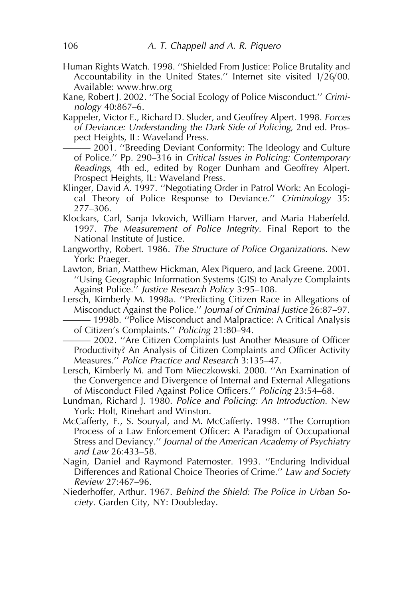- Human Rights Watch. 1998. ''Shielded From Justice: Police Brutality and Accountability in the United States." Internet site visited  $1/26/00$ . Available: www.hrw.org
- Kane, Robert J. 2002. ''The Social Ecology of Police Misconduct.'' Criminology 40:867–6.
- Kappeler, Victor E., Richard D. Sluder, and Geoffrey Alpert. 1998. Forces of Deviance: Understanding the Dark Side of Policing, 2nd ed. Prospect Heights, IL: Waveland Press.
	- 2001. "Breeding Deviant Conformity: The Ideology and Culture of Police.'' Pp. 290–316 in Critical Issues in Policing: Contemporary Readings, 4th ed., edited by Roger Dunham and Geoffrey Alpert. Prospect Heights, IL: Waveland Press.
- Klinger, David A. 1997. ''Negotiating Order in Patrol Work: An Ecological Theory of Police Response to Deviance.'' Criminology 35: 277–306.
- Klockars, Carl, Sanja Ivkovich, William Harver, and Maria Haberfeld. 1997. The Measurement of Police Integrity. Final Report to the National Institute of Justice.
- Langworthy, Robert. 1986. The Structure of Police Organizations. New York: Praeger.
- Lawton, Brian, Matthew Hickman, Alex Piquero, and Jack Greene. 2001. ''Using Geographic Information Systems (GIS) to Analyze Complaints Against Police.'' Justice Research Policy 3:95–108.
- Lersch, Kimberly M. 1998a. ''Predicting Citizen Race in Allegations of Misconduct Against the Police.'' Journal of Criminal Justice 26:87–97.
	- 1998b. "Police Misconduct and Malpractice: A Critical Analysis of Citizen's Complaints.'' Policing 21:80–94.
	- 2002. "Are Citizen Complaints Just Another Measure of Officer Productivity? An Analysis of Citizen Complaints and Officer Activity Measures.'' Police Practice and Research 3:135–47.
- Lersch, Kimberly M. and Tom Mieczkowski. 2000. ''An Examination of the Convergence and Divergence of Internal and External Allegations of Misconduct Filed Against Police Officers.'' Policing 23:54–68.
- Lundman, Richard J. 1980. Police and Policing: An Introduction. New York: Holt, Rinehart and Winston.
- McCafferty, F., S. Souryal, and M. McCafferty. 1998. ''The Corruption Process of a Law Enforcement Officer: A Paradigm of Occupational Stress and Deviancy.'' Journal of the American Academy of Psychiatry and Law 26:433–58.
- Nagin, Daniel and Raymond Paternoster. 1993. ''Enduring Individual Differences and Rational Choice Theories of Crime.'' Law and Society Review 27:467–96.
- Niederhoffer, Arthur. 1967. Behind the Shield: The Police in Urban Society. Garden City, NY: Doubleday.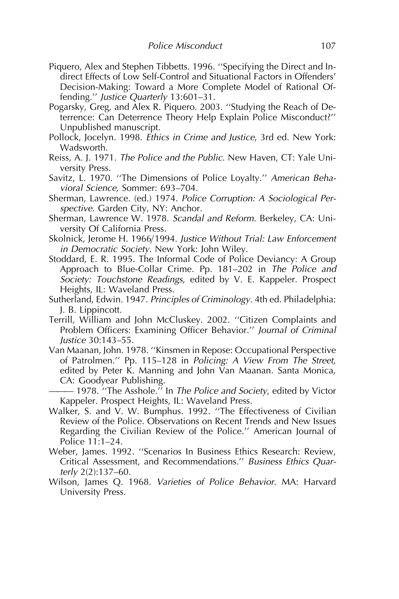- Piquero, Alex and Stephen Tibbetts. 1996. ''Specifying the Direct and Indirect Effects of Low Self-Control and Situational Factors in Offenders' Decision-Making: Toward a More Complete Model of Rational Offending.'' Justice Quarterly 13:601–31.
- Pogarsky, Greg, and Alex R. Piquero. 2003. ''Studying the Reach of Deterrence: Can Deterrence Theory Help Explain Police Misconduct?'' Unpublished manuscript.
- Pollock, Jocelyn. 1998. Ethics in Crime and Justice, 3rd ed. New York: Wadsworth.
- Reiss, A. J. 1971. The Police and the Public. New Haven, CT: Yale University Press.
- Savitz, L. 1970. ''The Dimensions of Police Loyalty.'' American Behavioral Science, Sommer: 693–704.
- Sherman, Lawrence. (ed.) 1974. Police Corruption: A Sociological Perspective. Garden City, NY: Anchor.
- Sherman, Lawrence W. 1978. Scandal and Reform. Berkeley, CA: University Of California Press.
- Skolnick, Jerome H. 1966/1994. Justice Without Trial: Law Enforcement in Democratic Society. New York: John Wiley.
- Stoddard, E. R. 1995. The Informal Code of Police Deviancy: A Group Approach to Blue-Collar Crime. Pp. 181–202 in The Police and Society: Touchstone Readings, edited by V. E. Kappeler. Prospect Heights, IL: Waveland Press.
- Sutherland, Edwin. 1947. Principles of Criminology. 4th ed. Philadelphia: J. B. Lippincott.
- Terrill, William and John McCluskey. 2002. ''Citizen Complaints and Problem Officers: Examining Officer Behavior.'' Journal of Criminal Justice 30:143–55.
- Van Maanan, John. 1978. ''Kinsmen in Repose: Occupational Perspective of Patrolmen.'' Pp. 115–128 in Policing: A View From The Street, edited by Peter K. Manning and John Van Maanan. Santa Monica, CA: Goodyear Publishing.
- 1978. <sup>'</sup>'The Asshole.<sup>"</sup> In The Police and Society, edited by Victor Kappeler. Prospect Heights, IL: Waveland Press.
- Walker, S. and V. W. Bumphus. 1992. ''The Effectiveness of Civilian Review of the Police. Observations on Recent Trends and New Issues Regarding the Civilian Review of the Police.'' American Journal of Police 11:1–24.
- Weber, James. 1992. ''Scenarios In Business Ethics Research: Review, Critical Assessment, and Recommendations.'' Business Ethics Quarterly 2(2):137–60.
- Wilson, James Q. 1968. Varieties of Police Behavior. MA: Harvard University Press.